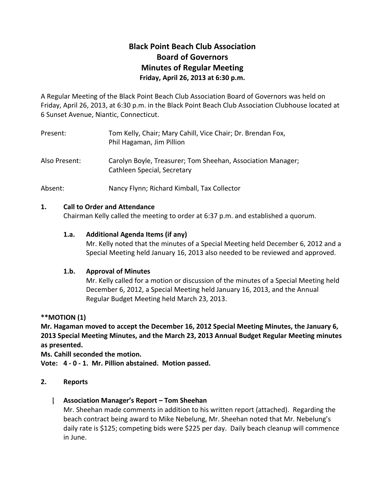# **Black Point Beach Club Association Board of Governors Minutes of Regular Meeting Friday, April 26, 2013 at 6:30 p.m.**

A Regular Meeting of the Black Point Beach Club Association Board of Governors was held on Friday, April 26, 2013, at 6:30 p.m. in the Black Point Beach Club Association Clubhouse located at 6 Sunset Avenue, Niantic, Connecticut.

| Present:      | Tom Kelly, Chair; Mary Cahill, Vice Chair; Dr. Brendan Fox,<br>Phil Hagaman, Jim Pillion   |
|---------------|--------------------------------------------------------------------------------------------|
| Also Present: | Carolyn Boyle, Treasurer; Tom Sheehan, Association Manager;<br>Cathleen Special, Secretary |
| Absent:       | Nancy Flynn; Richard Kimball, Tax Collector                                                |

## **1. Call to Order and Attendance**

Chairman Kelly called the meeting to order at 6:37 p.m. and established a quorum.

## **1.a. Additional Agenda Items (if any)**

Mr. Kelly noted that the minutes of a Special Meeting held December 6, 2012 and a Special Meeting held January 16, 2013 also needed to be reviewed and approved.

## **1.b. Approval of Minutes**

Mr. Kelly called for a motion or discussion of the minutes of a Special Meeting held December 6, 2012, a Special Meeting held January 16, 2013, and the Annual Regular Budget Meeting held March 23, 2013.

**\*\*MOTION (1)**

**Mr. Hagaman moved to accept the December 16, 2012 Special Meeting Minutes, the January 6, 2013 Special Meeting Minutes, and the March 23, 2013 Annual Budget Regular Meeting minutes as presented.**

**Ms. Cahill seconded the motion.**

**Vote: 4 - 0 - 1. Mr. Pillion abstained. Motion passed.**

## **2. Reports**

## **Association Manager's Report – Tom Sheehan**

Mr. Sheehan made comments in addition to his written report (attached). Regarding the beach contract being award to Mike Nebelung, Mr. Sheehan noted that Mr. Nebelung's daily rate is \$125; competing bids were \$225 per day. Daily beach cleanup will commence in June.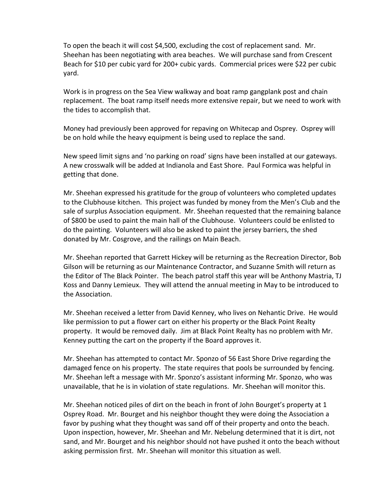To open the beach it will cost \$4,500, excluding the cost of replacement sand. Mr. Sheehan has been negotiating with area beaches. We will purchase sand from Crescent Beach for \$10 per cubic yard for 200+ cubic yards. Commercial prices were \$22 per cubic yard.

Work is in progress on the Sea View walkway and boat ramp gangplank post and chain replacement. The boat ramp itself needs more extensive repair, but we need to work with the tides to accomplish that.

Money had previously been approved for repaving on Whitecap and Osprey. Osprey will be on hold while the heavy equipment is being used to replace the sand.

New speed limit signs and 'no parking on road' signs have been installed at our gateways. A new crosswalk will be added at Indianola and East Shore. Paul Formica was helpful in getting that done.

Mr. Sheehan expressed his gratitude for the group of volunteers who completed updates to the Clubhouse kitchen. This project was funded by money from the Men's Club and the sale of surplus Association equipment. Mr. Sheehan requested that the remaining balance of \$800 be used to paint the main hall of the Clubhouse. Volunteers could be enlisted to do the painting. Volunteers will also be asked to paint the jersey barriers, the shed donated by Mr. Cosgrove, and the railings on Main Beach.

Mr. Sheehan reported that Garrett Hickey will be returning as the Recreation Director, Bob Gilson will be returning as our Maintenance Contractor, and Suzanne Smith will return as the Editor of The Black Pointer. The beach patrol staff this year will be Anthony Mastria, TJ Koss and Danny Lemieux. They will attend the annual meeting in May to be introduced to the Association.

Mr. Sheehan received a letter from David Kenney, who lives on Nehantic Drive. He would like permission to put a flower cart on either his property or the Black Point Realty property. It would be removed daily. Jim at Black Point Realty has no problem with Mr. Kenney putting the cart on the property if the Board approves it.

Mr. Sheehan has attempted to contact Mr. Sponzo of 56 East Shore Drive regarding the damaged fence on his property. The state requires that pools be surrounded by fencing. Mr. Sheehan left a message with Mr. Sponzo's assistant informing Mr. Sponzo, who was unavailable, that he is in violation of state regulations. Mr. Sheehan will monitor this.

Mr. Sheehan noticed piles of dirt on the beach in front of John Bourget's property at 1 Osprey Road. Mr. Bourget and his neighbor thought they were doing the Association a favor by pushing what they thought was sand off of their property and onto the beach. Upon inspection, however, Mr. Sheehan and Mr. Nebelung determined that it is dirt, not sand, and Mr. Bourget and his neighbor should not have pushed it onto the beach without asking permission first. Mr. Sheehan will monitor this situation as well.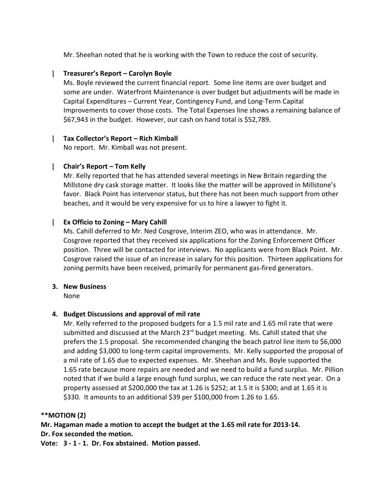Mr. Sheehan noted that he is working with the Town to reduce the cost of security.

#### **Treasurer's Report – Carolyn Boyle**

Ms. Boyle reviewed the current financial report. Some line items are over budget and some are under. Waterfront Maintenance is over budget but adjustments will be made in Capital Expenditures – Current Year, Contingency Fund, and Long-Term Capital Improvements to cover those costs. The Total Expenses line shows a remaining balance of \$67,943 in the budget. However, our cash on hand total is \$52,789.

#### **Tax Collector's Report – Rich Kimball**

No report. Mr. Kimball was not present.

#### **Chair's Report – Tom Kelly**

Mr. Kelly reported that he has attended several meetings in New Britain regarding the Millstone dry cask storage matter. It looks like the matter will be approved in Millstone's favor. Black Point has intervenor status, but there has not been much support from other beaches, and it would be very expensive for us to hire a lawyer to fight it.

#### **Ex Officio to Zoning – Mary Cahill**

Ms. Cahill deferred to Mr. Ned Cosgrove, Interim ZEO, who was in attendance. Mr. Cosgrove reported that they received six applications for the Zoning Enforcement Officer position. Three will be contacted for interviews. No applicants were from Black Point. Mr. Cosgrove raised the issue of an increase in salary for this position. Thirteen applications for zoning permits have been received, primarily for permanent gas-fired generators.

#### **3. New Business**

None

## **4. Budget Discussions and approval of mil rate**

Mr. Kelly referred to the proposed budgets for a 1.5 mil rate and 1.65 mil rate that were submitted and discussed at the March 23<sup>rd</sup> budget meeting. Ms. Cahill stated that she prefers the 1.5 proposal. She recommended changing the beach patrol line item to \$6,000 and adding \$3,000 to long-term capital improvements. Mr. Kelly supported the proposal of a mil rate of 1.65 due to expected expenses. Mr. Sheehan and Ms. Boyle supported the 1.65 rate because more repairs are needed and we need to build a fund surplus. Mr. Pillion noted that if we build a large enough fund surplus, we can reduce the rate next year. On a property assessed at \$200,000 the tax at 1.26 is \$252; at 1.5 it is \$300; and at 1.65 it is \$330. It amounts to an additional \$39 per \$100,000 from 1.26 to 1.65.

#### **\*\*MOTION (2)**

**Mr. Hagaman made a motion to accept the budget at the 1.65 mil rate for 2013-14. Dr. Fox seconded the motion.**

**Vote: 3 - 1 - 1. Dr. Fox abstained. Motion passed.**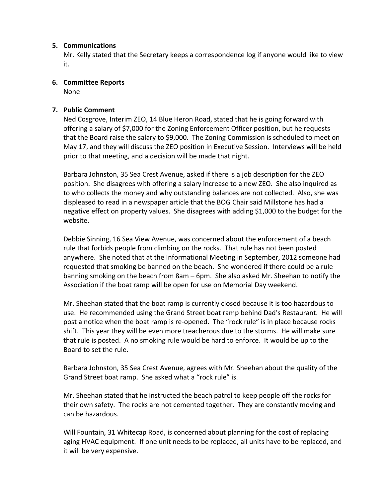#### **5. Communications**

Mr. Kelly stated that the Secretary keeps a correspondence log if anyone would like to view it.

**6. Committee Reports**

None

### **7. Public Comment**

Ned Cosgrove, Interim ZEO, 14 Blue Heron Road, stated that he is going forward with offering a salary of \$7,000 for the Zoning Enforcement Officer position, but he requests that the Board raise the salary to \$9,000. The Zoning Commission is scheduled to meet on May 17, and they will discuss the ZEO position in Executive Session. Interviews will be held prior to that meeting, and a decision will be made that night.

Barbara Johnston, 35 Sea Crest Avenue, asked if there is a job description for the ZEO position. She disagrees with offering a salary increase to a new ZEO. She also inquired as to who collects the money and why outstanding balances are not collected. Also, she was displeased to read in a newspaper article that the BOG Chair said Millstone has had a negative effect on property values. She disagrees with adding \$1,000 to the budget for the website.

Debbie Sinning, 16 Sea View Avenue, was concerned about the enforcement of a beach rule that forbids people from climbing on the rocks. That rule has not been posted anywhere. She noted that at the Informational Meeting in September, 2012 someone had requested that smoking be banned on the beach. She wondered if there could be a rule banning smoking on the beach from 8am – 6pm. She also asked Mr. Sheehan to notify the Association if the boat ramp will be open for use on Memorial Day weekend.

Mr. Sheehan stated that the boat ramp is currently closed because it is too hazardous to use. He recommended using the Grand Street boat ramp behind Dad's Restaurant. He will post a notice when the boat ramp is re-opened. The "rock rule" is in place because rocks shift. This year they will be even more treacherous due to the storms. He will make sure that rule is posted. A no smoking rule would be hard to enforce. It would be up to the Board to set the rule.

Barbara Johnston, 35 Sea Crest Avenue, agrees with Mr. Sheehan about the quality of the Grand Street boat ramp. She asked what a "rock rule" is.

Mr. Sheehan stated that he instructed the beach patrol to keep people off the rocks for their own safety. The rocks are not cemented together. They are constantly moving and can be hazardous.

Will Fountain, 31 Whitecap Road, is concerned about planning for the cost of replacing aging HVAC equipment. If one unit needs to be replaced, all units have to be replaced, and it will be very expensive.